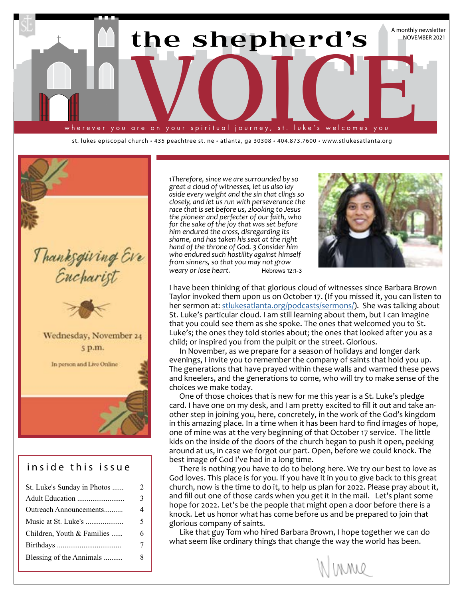

st. lukes episcopal church • 435 peachtree st. ne • atlanta, ga 30308 • 404.873.7600 • www.stlukesatlanta.org



#### inside this issue

| St. Luke's Sunday in Photos | $\mathfrak{D}$ |
|-----------------------------|----------------|
| Adult Education             | 3              |
| Outreach Announcements      | $\overline{4}$ |
| Music at St. Luke's         | 5              |
| Children, Youth & Families  | 6              |
|                             | 7              |
| Blessing of the Annimals    | 8              |
|                             |                |

*1Therefore, since we are surrounded by so great a cloud of witnesses, let us also lay aside every weight and the sin that clings so closely, and let us run with perseverance the race that is set before us, 2looking to Jesus the pioneer and perfecter of our faith, who for the sake of the joy that was set before him endured the cross, disregarding its shame, and has taken his seat at the right hand of the throne of God. 3 Consider him who endured such hostility against himself from sinners, so that you may not grow weary or lose heart.* Hebrews 12:1-3



I have been thinking of that glorious cloud of witnesses since Barbara Brown Taylor invoked them upon us on October 17. (If you missed it, you can listen to her sermon at: [stlukesatlanta.org/podcasts/sermons/](http://stlukesatlanta.org/podcasts/sermons/)). She was talking about St. Luke's particular cloud. I am still learning about them, but I can imagine that you could see them as she spoke. The ones that welcomed you to St. Luke's; the ones they told stories about; the ones that looked after you as a child; or inspired you from the pulpit or the street. Glorious.

In November, as we prepare for a season of holidays and longer dark evenings, I invite you to remember the company of saints that hold you up. The generations that have prayed within these walls and warmed these pews and kneelers, and the generations to come, who will try to make sense of the choices we make today.

One of those choices that is new for me this year is a St. Luke's pledge card. I have one on my desk, and I am pretty excited to fill it out and take another step in joining you, here, concretely, in the work of the God's kingdom in this amazing place. In a time when it has been hard to find images of hope, one of mine was at the very beginning of that October 17 service. The little kids on the inside of the doors of the church began to push it open, peeking around at us, in case we forgot our part. Open, before we could knock. The best image of God I've had in a long time.

There is nothing you have to do to belong here. We try our best to love as God loves. This place is for you. If you have it in you to give back to this great church, now is the time to do it, to help us plan for 2022. Please pray about it, and fill out one of those cards when you get it in the mail. Let's plant some hope for 2022. Let's be the people that might open a door before there is a knock. Let us honor what has come before us and be prepared to join that glorious company of saints.

Like that guy Tom who hired Barbara Brown, I hope together we can do what seem like ordinary things that change the way the world has been.

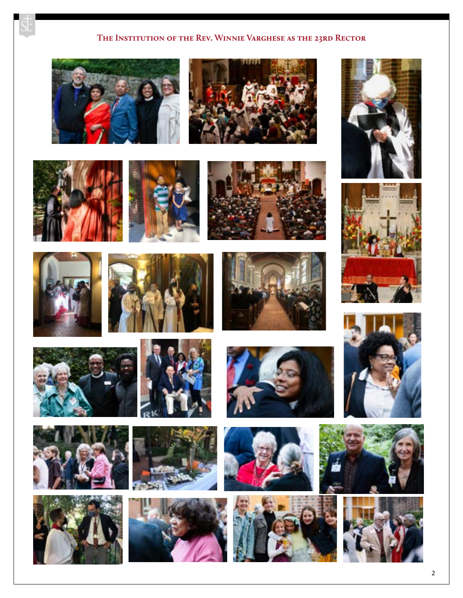#### **The Institution of the Rev. Winnie Varghese as the 23rd Rector**































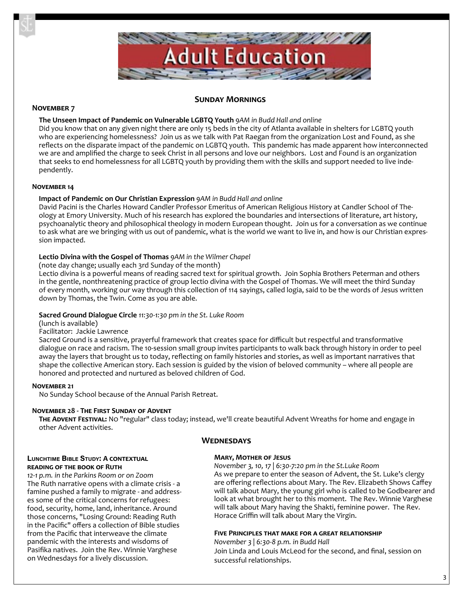

#### **Sunday Mornings**

#### **November 7**

#### **The Unseen Impact of Pandemic on Vulnerable LGBTQ Youth** *9AM in Budd Hall and online*

Did you know that on any given night there are only 15 beds in the city of Atlanta available in shelters for LGBTQ youth who are experiencing homelessness? Join us as we talk with Pat Raegan from the organization Lost and Found, as she reflects on the disparate impact of the pandemic on LGBTQ youth. This pandemic has made apparent how interconnected we are and amplified the charge to seek Christ in all persons and love our neighbors. Lost and Found is an organization that seeks to end homelessness for all LGBTQ youth by providing them with the skills and support needed to live independently.

#### **November 14**

#### **Impact of Pandemic on Our Christian Expression** *9AM in Budd Hall and online*

David Pacini is the Charles Howard Candler Professor Emeritus of American Religious History at Candler School of Theology at Emory University. Much of his research has explored the boundaries and intersections of literature, art history, psychoanalytic theory and philosophical theology in modern European thought. Join us for a conversation as we continue to ask what are we bringing with us out of pandemic, what is the world we want to live in, and how is our Christian expression impacted.

#### **Lectio Divina with the Gospel of Thomas** *9AM in the Wilmer Chapel*

(note day change; usually each 3rd Sunday of the month)

Lectio divina is a powerful means of reading sacred text for spiritual growth. Join Sophia Brothers Peterman and others in the gentle, nonthreatening practice of group lectio divina with the Gospel of Thomas. We will meet the third Sunday of every month, working our way through this collection of 114 sayings, called logia, said to be the words of Jesus written down by Thomas, the Twin. Come as you are able.

#### **Sacred Ground Dialogue Circle** *11:30-1:30 pm in the St. Luke Room*

(lunch is available)

#### Facilitator: Jackie Lawrence

Sacred Ground is a sensitive, prayerful framework that creates space for difficult but respectful and transformative dialogue on race and racism. The 10-session small group invites participants to walk back through history in order to peel away the layers that brought us to today, reflecting on family histories and stories, as well as important narratives that shape the collective American story. Each session is guided by the vision of beloved community – where all people are honored and protected and nurtured as beloved children of God.

#### **November 21**

No Sunday School because of the Annual Parish Retreat.

#### **November 28 - The First Sunday of Advent**

**The Advent Festival:** No "regular" class today; instead, we'll create beautiful Advent Wreaths for home and engage in other Advent activities.

#### **Wednesdays**

#### **Lunchtime Bible Study: A contextual reading of the book of Ruth**

*12-1 p.m. in the Parkins Room or on Zoom* The Ruth narrative opens with a climate crisis - a famine pushed a family to migrate - and addresses some of the critical concerns for refugees: food, security, home, land, inheritance. Around those concerns, "Losing Ground: Reading Ruth in the Pacific" offers a collection of Bible studies from the Pacific that interweave the climate pandemic with the interests and wisdoms of Pasifika natives. Join the Rev. Winnie Varghese on Wednesdays for a lively discussion.

#### **Mary, Mother of Jesus**

*November 3, 10, 17 | 6:30-7:20 pm in the St.Luke Room*  As we prepare to enter the season of Advent, the St. Luke's clergy are offering reflections about Mary. The Rev. Elizabeth Shows Caffey will talk about Mary, the young girl who is called to be Godbearer and look at what brought her to this moment. The Rev. Winnie Varghese will talk about Mary having the Shakti, feminine power. The Rev. Horace Griffin will talk about Mary the Virgin.

#### **Five Principles that make for a great relationship**

*November 3 | 6:30-8 p.m. in Budd Hall* Join Linda and Louis McLeod for the second, and final, session on successful relationships.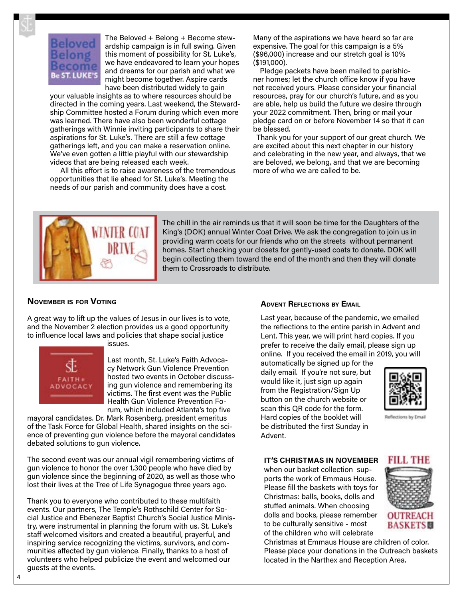# e ST. LUKE'S

The Beloved + Belong + Become stewardship campaign is in full swing. Given this moment of possibility for St. Luke's, we have endeavored to learn your hopes and dreams for our parish and what we might become together. Aspire cards have been distributed widely to gain

your valuable insights as to where resources should be directed in the coming years. Last weekend, the Stewardship Committee hosted a Forum during which even more was learned. There have also been wonderful cottage gatherings with Winnie inviting participants to share their aspirations for St. Luke's. There are still a few cottage gatherings left, and you can make a reservation online. We've even gotten a little playful with our stewardship videos that are being released each week.

All this effort is to raise awareness of the tremendous opportunities that lie ahead for St. Luke's. Meeting the needs of our parish and community does have a cost.

Many of the aspirations we have heard so far are expensive. The goal for this campaign is a 5% (\$96,000) increase and our stretch goal is 10% (\$191,000).

Pledge packets have been mailed to parishioner homes; let the church office know if you have not received yours. Please consider your financial resources, pray for our church's future, and as you are able, help us build the future we desire through your 2022 commitment. Then, bring or mail your pledge card on or before November 14 so that it can be blessed.

Thank you for your support of our great church. We are excited about this next chapter in our history and celebrating in the new year, and always, that we are beloved, we belong, and that we are becoming more of who we are called to be.



The chill in the air reminds us that it will soon be time for the Daughters of the King's (DOK) annual Winter Coat Drive. We ask the congregation to join us in providing warm coats for our friends who on the streets without permanent homes. Start checking your closets for gently-used coats to donate. DOK will begin collecting them toward the end of the month and then they will donate them to Crossroads to distribute.

#### **November is for Voting**

A great way to lift up the values of Jesus in our lives is to vote, and the November 2 election provides us a good opportunity to influence local laws and policies that shape social justice issues.



Last month, St. Luke's Faith Advocacy Network Gun Violence Prevention hosted two events in October discussing gun violence and remembering its victims. The first event was the Public Health Gun Violence Prevention Forum, which included Atlanta's top five

mayoral candidates. Dr. Mark Rosenberg, president emeritus of the Task Force for Global Health, shared insights on the science of preventing gun violence before the mayoral candidates debated solutions to gun violence.

The second event was our annual vigil remembering victims of gun violence to honor the over 1,300 people who have died by gun violence since the beginning of 2020, as well as those who lost their lives at the Tree of Life Synagogue three years ago.

Thank you to everyone who contributed to these multifaith events. Our partners, The Temple's Rothschild Center for Social Justice and Ebenezer Baptist Church's Social Justice Ministry, were instrumental in planning the forum with us. St. Luke's staff welcomed visitors and created a beautiful, prayerful, and inspiring service recognizing the victims, survivors, and communities affected by gun violence. Finally, thanks to a host of volunteers who helped publicize the event and welcomed our guests at the events.

#### **Advent Reflections by Email**

Last year, because of the pandemic, we emailed the reflections to the entire parish in Advent and Lent. This year, we will print hard copies. If you prefer to receive the daily email, please sign up online. If you received the email in 2019, you will

automatically be signed up for the daily email. If you're not sure, but would like it, just sign up again from the Registration/Sign Up button on the church website or scan this QR code for the form. Hard copies of the booklet will be distributed the first Sunday in Advent.



Reflections by Email

#### **IT'S CHRISTMAS IN NOVEMBER**

when our basket collection supports the work of Emmaus House. Please fill the baskets with toys for Christmas: balls, books, dolls and stuffed animals. When choosing dolls and books, please remember to be culturally sensitive - most of the children who will celebrate



Christmas at Emmaus House are children of color. Please place your donations in the Outreach baskets located in the Narthex and Reception Area.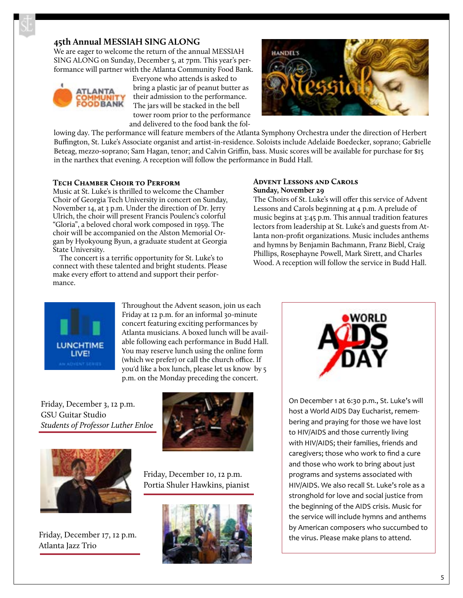#### **45th Annual MESSIAH SING ALONG**

We are eager to welcome the return of the annual MESSIAH SING ALONG on Sunday, December 5, at 7pm. This year's performance will partner with the Atlanta Community Food Bank.



Everyone who attends is asked to bring a plastic jar of peanut butter as their admission to the performance. The jars will be stacked in the bell tower room prior to the performance and delivered to the food bank the fol-



lowing day. The performance will feature members of the Atlanta Symphony Orchestra under the direction of Herbert Buffington, St. Luke's Associate organist and artist-in-residence. Soloists include Adelaide Boedecker, soprano; Gabrielle Beteag, mezzo-soprano; Sam Hagan, tenor; and Calvin Griffin, bass. Music scores will be available for purchase for \$15 in the narthex that evening. A reception will follow the performance in Budd Hall.

#### **Tech Chamber Choir to Perform**

Music at St. Luke's is thrilled to welcome the Chamber Choir of Georgia Tech University in concert on Sunday, November 14, at 3 p.m. Under the direction of Dr. Jerry Ulrich, the choir will present Francis Poulenc's colorful "Gloria", a beloved choral work composed in 1959. The choir will be accompanied on the Alston Memorial Organ by Hyokyoung Byun, a graduate student at Georgia State University.

The concert is a terrific opportunity for St. Luke's to connect with these talented and bright students. Please make every effort to attend and support their performance.

#### **Advent Lessons and Carols Sunday, November 29**

The Choirs of St. Luke's will offer this service of Advent Lessons and Carols beginning at 4 p.m. A prelude of music begins at 3:45 p.m. This annual tradition features lectors from leadership at St. Luke's and guests from Atlanta non-profit organizations. Music includes anthems and hymns by Benjamin Bachmann, Franz Biebl, Craig Phillips, Rosephayne Powell, Mark Sirett, and Charles Wood. A reception will follow the service in Budd Hall.



Throughout the Advent season, join us each Friday at 12 p.m. for an informal 30-minute concert featuring exciting performances by Atlanta musicians. A boxed lunch will be available following each performance in Budd Hall. You may reserve lunch using the online form (which we prefer) or call the church office. If you'd like a box lunch, please let us know by 5 p.m. on the Monday preceding the concert.

Friday, December 3, 12 p.m. GSU Guitar Studio *Students of Professor Luther Enloe*





Friday, December 17, 12 p.m. Atlanta Jazz Trio

Friday, December 10, 12 p.m. Portia Shuler Hawkins, pianist





On December 1 at 6:30 p.m., St. Luke's will host a World AIDS Day Eucharist, remembering and praying for those we have lost to HIV/AIDS and those currently living with HIV/AIDS; their families, friends and caregivers; those who work to find a cure and those who work to bring about just programs and systems associated with HIV/AIDS. We also recall St. Luke's role as a stronghold for love and social justice from the beginning of the AIDS crisis. Music for the service will include hymns and anthems by American composers who succumbed to the virus. Please make plans to attend.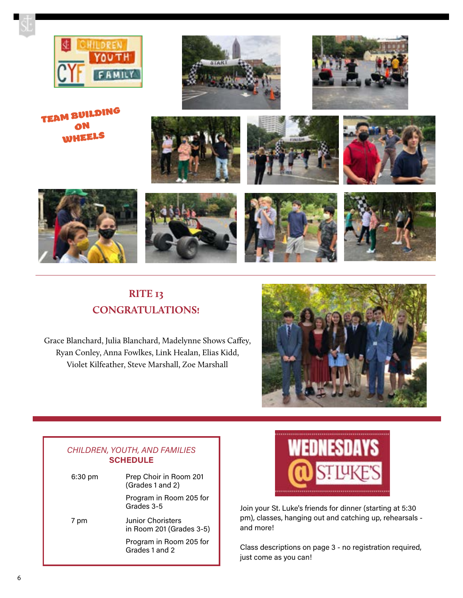

TEAM BUILDING ON WHEELS



















## **RITE 13 CONGRATULATIONS!**

Grace Blanchard, Julia Blanchard, Madelynne Shows Caffey, Ryan Conley, Anna Fowlkes, Link Healan, Elias Kidd, Violet Kilfeather, Steve Marshall, Zoe Marshall



#### *CHILDREN, YOUTH, AND FAMILIES*  **SCHEDULE**

| $6:30$ pm | Prep Choir in Room 201<br>(Grades 1 and 2)    |
|-----------|-----------------------------------------------|
|           | Program in Room 205 for<br>Grades 3-5         |
| 7 pm      | Junior Choristers<br>in Room 201 (Grades 3-5) |
|           | Program in Room 205 for<br>Grades 1 and 2     |



Join your St. Luke's friends for dinner (starting at 5:30 pm), classes, hanging out and catching up, rehearsals and more!

Class descriptions on page 3 - no registration required, just come as you can!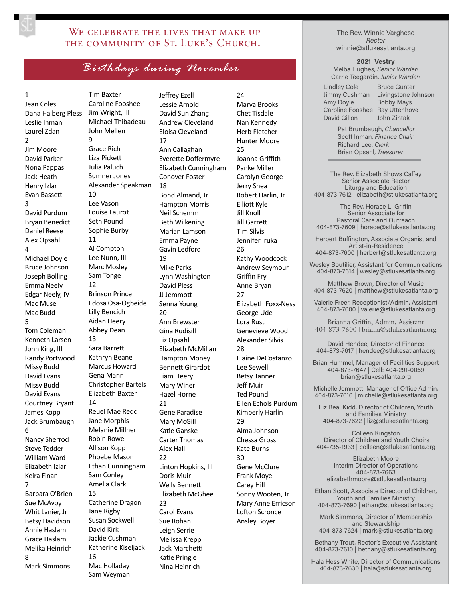#### WE CELEBRATE THE LIVES THAT MAKE UP the community of St. Luke's Church.

## *Birthdays during November*

#### 1 Jean Coles Dana Halberg Pless Leslie Inman Laurel Zdan  $\overline{2}$ Jim Moore David Parker Nona Pappas Jack Heath Henry Izlar Evan Bassett 3 David Purdum Bryan Benedict Daniel Reese Alex Opsahl 4 Michael Doyle Bruce Johnson Joseph Bolling Emma Neely Edgar Neely, IV Mac Muse Mac Budd 5 Tom Coleman Kenneth Larsen John King, III Randy Portwood Missy Budd David Evans Missy Budd David Evans Courtney Bryant James Kopp Jack Brumbaugh 6 Nancy Sherrod Steve Tedder William Ward Elizabeth Izlar Keira Finan 7 Barbara O'Brien Sue McAvoy Whit Lanier, Jr

Betsy Davidson Annie Haslam Grace Haslam Melika Heinrich

Mark Simmons

8

Tim Baxter Caroline Fooshee Jim Wright, III Michael Thibadeau John Mellen 9 Grace Rich Liza Pickett Julia Paluch Sumner Jones Alexander Speakman 10 Lee Vason Louise Faurot Seth Pound Sophie Burby 11 Al Compton Lee Nunn, III Marc Mosley Sam Tonge 12 Brinson Prince Edosa Osa-Ogbeide Lilly Bencich Aidan Heery Abbey Dean 13 Sara Barrett Kathryn Beane Marcus Howard Gena Mann Christopher Bartels Elizabeth Baxter 14 Reuel Mae Redd Jane Morphis Melanie Millner Robin Rowe Allison Kopp Phoebe Mason Ethan Cunningham Sam Conley Amelia Clark 15 Catherine Dragon Jane Rigby Susan Sockwell David Kirk Jackie Cushman Katherine Kiseljack 16 Mac Holladay Sam Weyman

Jeffrey Ezell Lessie Arnold David Sun Zhang Andrew Cleveland Eloisa Cleveland 17 Ann Callaghan Everette Doffermyre Elizabeth Cunningham Conover Foster 18 Bond Almand, Jr Hampton Morris Neil Schemm Beth Wilkening Marian Lamson Emma Payne Gavin Ledford 19 Mike Parks Lynn Washington David Pless JJ Jemmott Senna Young 20 Ann Brewster Gina Rudisill Liz Opsahl Elizabeth McMillan Hampton Money Bennett Girardot Liam Heery Mary Winer Hazel Horne 21 Gene Paradise Mary McGill Katie Ganske Carter Thomas Alex Hall 22 Linton Hopkins, III Doris Muir Wells Bennett Elizabeth McGhee  $23$ Carol Evans Sue Rohan Leigh Serrie Melissa Krepp Jack Marchetti Katie Pringle Nina Heinrich

 $24$ Marva Brooks Chet Tisdale Nan Kennedy Herb Fletcher Hunter Moore 25 Joanna Griffith Panke Miller Carolyn George Jerry Shea Robert Harlin, Jr Elliott Kyle Jill Knoll Jill Garrett Tim Silvis Jennifer Iruka 26 Kathy Woodcock Andrew Seymour Griffin Fry Anne Bryan 27 Elizabeth Foxx-Ness George Ude Lora Rust Genevieve Wood Alexander Silvis 28 Elaine DeCostanzo Lee Sewell Betsy Tanner Jeff Muir Ted Pound Ellen Echols Purdum Kimberly Harlin 29 Alma Johnson Chessa Gross Kate Burns 30 Gene McClure Frank Moye Carey Hill Sonny Wooten, Jr Mary Anne Erricson Lofton Scronce Ansley Boyer

The Rev. Winnie Varghese *Rector* winnie@stlukesatlanta.org

**2021 Vestry** 

Melba Hughes, *Senior Warden* Carrie Teegardin, *Junior Warden*

Lindley Cole Jimmy Cushman Amy Doyle Caroline Fooshee Ray Uttenhove David Gillon

Bruce Gunter Livingstone Johnson Bobby Mays John Zintak

Pat Brumbaugh, *Chancellor* Scott Inman, *Finance Chair* Richard Lee, *Clerk* Brian Opsahl, *Treasurer*

The Rev. Elizabeth Shows Caffey Senior Associate Rector Liturgy and Education 404-873-7612 | elizabeth@stlukesatlanta.org

The Rev. Horace L. Griffin Senior Associate for Pastoral Care and Outreach 404-873-7609 | horace@stlukesatlanta.org

Herbert Buffington, Associate Organist and Artist-in-Residence 404-873-7600 | herbert@stlukesatlanta.org

Wesley Boutilier, Assistant for Communications 404-873-7614 | wesley@stlukesatlanta.org

Matthew Brown, Director of Music 404-873-7620 | matthew@stlukesatlanta.org

Valerie Freer, Receptionist/Admin. Assistant 404-873-7600 | valerie@stlukesatlanta.org

Brianna Griffin, Admin. Assistant 404-873-7600 | briana@stlukesatlanta.org

David Hendee, Director of Finance 404-873-7617 | hendee@stlukesatlanta.org

Brian Hummel, Manager of Facilities Support 404-873-7647 | Cell: 404-291-0059 brian@stlukesatlanta.org

Michelle Jemmott, Manager of Office Admin. 404-873-7616 | michelle@stlukesatlanta.org

Liz Beal Kidd, Director of Children, Youth and Families Ministry 404-873-7622 | liz@stlukesatlanta.org

Colleen Kingston Director of Children and Youth Choirs 404-735-1933 | colleen@stlukesatlanta.org

Elizabeth Moore Interim Director of Operations 404-873-7663 elizabethmoore@stlukesatlanta.org

Ethan Scott, Associate Director of Children, Youth and Families Ministry 404-873-7690 | ethan@stlukesatlanta.org

Mark Simmons, Director of Membership and Stewardship 404-873-7624 | mark@stlukesatlanta.org

Bethany Trout, Rector's Executive Assistant 404-873-7610 | bethany@stlukesatlanta.org

Hala Hess White, Director of Communications 404-873-7630 | hala@stlukesatlanta.org